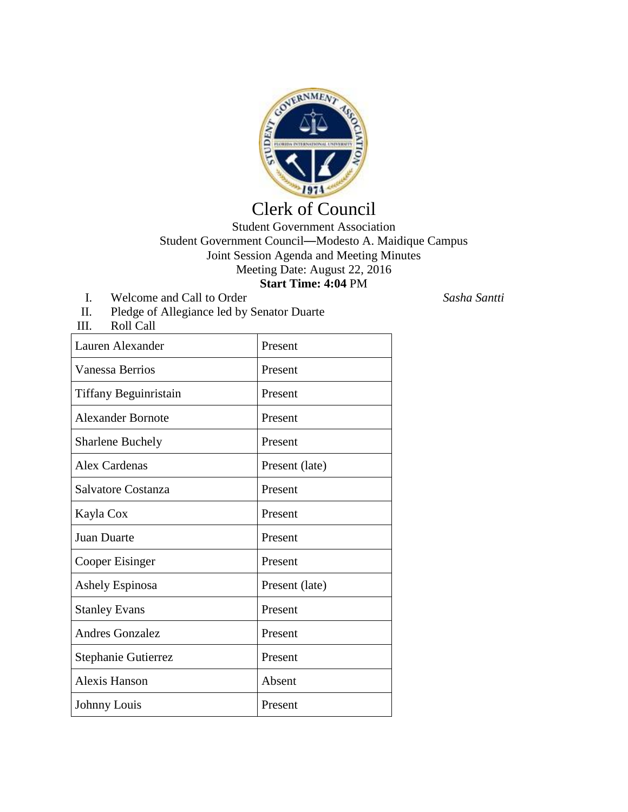

## Clerk of Council

Student Government Association Student Government Council—Modesto A. Maidique Campus Joint Session Agenda and Meeting Minutes Meeting Date: August 22, 2016 **Start Time: 4:04** PM

I. Welcome and Call to Order *Sasha Santti*

III. Roll Call

II. Pledge of Allegiance led by Senator Duarte

| Lauren Alexander         | Present        |
|--------------------------|----------------|
| <b>Vanessa Berrios</b>   | Present        |
| Tiffany Beguinristain    | Present        |
| <b>Alexander Bornote</b> | Present        |
| <b>Sharlene Buchely</b>  | Present        |
| Alex Cardenas            | Present (late) |
| Salvatore Costanza       | Present        |
| Kayla Cox                | Present        |
| Juan Duarte              | Present        |
| Cooper Eisinger          | Present        |
| Ashely Espinosa          | Present (late) |
| <b>Stanley Evans</b>     | Present        |
| <b>Andres Gonzalez</b>   | Present        |
| Stephanie Gutierrez      | Present        |
| Alexis Hanson            | Absent         |
| Johnny Louis             | Present        |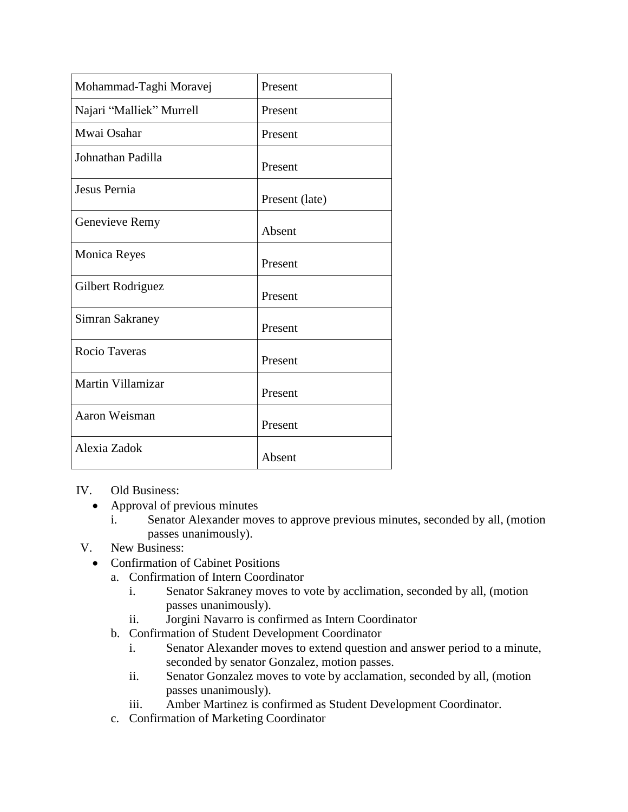| Mohammad-Taghi Moravej   | Present        |
|--------------------------|----------------|
| Najari "Malliek" Murrell | Present        |
| Mwai Osahar              | Present        |
| Johnathan Padilla        | Present        |
| Jesus Pernia             | Present (late) |
| Genevieve Remy           | Absent         |
| <b>Monica Reyes</b>      | Present        |
| Gilbert Rodriguez        | Present        |
| Simran Sakraney          | Present        |
| Rocio Taveras            | Present        |
| Martin Villamizar        | Present        |
| Aaron Weisman            | Present        |
| Alexia Zadok             | Absent         |

IV. Old Business:

- Approval of previous minutes
	- i. Senator Alexander moves to approve previous minutes, seconded by all, (motion passes unanimously).
- V. New Business:
	- Confirmation of Cabinet Positions
		- a. Confirmation of Intern Coordinator
			- i. Senator Sakraney moves to vote by acclimation, seconded by all, (motion passes unanimously).
			- ii. Jorgini Navarro is confirmed as Intern Coordinator
		- b. Confirmation of Student Development Coordinator
			- i. Senator Alexander moves to extend question and answer period to a minute, seconded by senator Gonzalez, motion passes.
			- ii. Senator Gonzalez moves to vote by acclamation, seconded by all, (motion passes unanimously).
			- iii. Amber Martinez is confirmed as Student Development Coordinator.
		- c. Confirmation of Marketing Coordinator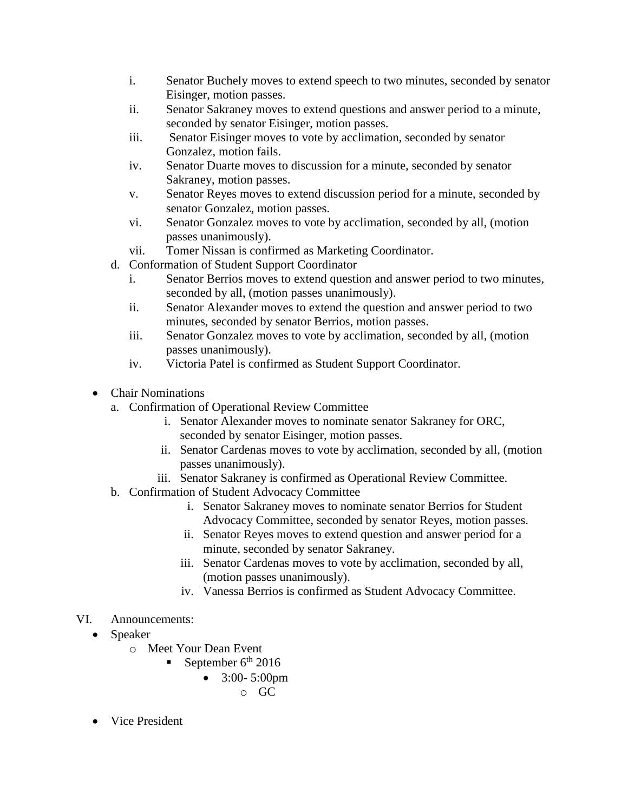- i. Senator Buchely moves to extend speech to two minutes, seconded by senator Eisinger, motion passes.
- ii. Senator Sakraney moves to extend questions and answer period to a minute, seconded by senator Eisinger, motion passes.
- iii. Senator Eisinger moves to vote by acclimation, seconded by senator Gonzalez, motion fails.
- iv. Senator Duarte moves to discussion for a minute, seconded by senator Sakraney, motion passes.
- v. Senator Reyes moves to extend discussion period for a minute, seconded by senator Gonzalez, motion passes.
- vi. Senator Gonzalez moves to vote by acclimation, seconded by all, (motion passes unanimously).
- vii. Tomer Nissan is confirmed as Marketing Coordinator.
- d. Conformation of Student Support Coordinator
	- i. Senator Berrios moves to extend question and answer period to two minutes, seconded by all, (motion passes unanimously).
	- ii. Senator Alexander moves to extend the question and answer period to two minutes, seconded by senator Berrios, motion passes.
	- iii. Senator Gonzalez moves to vote by acclimation, seconded by all, (motion passes unanimously).
	- iv. Victoria Patel is confirmed as Student Support Coordinator.
- Chair Nominations
	- a. Confirmation of Operational Review Committee
		- i. Senator Alexander moves to nominate senator Sakraney for ORC, seconded by senator Eisinger, motion passes.
		- ii. Senator Cardenas moves to vote by acclimation, seconded by all, (motion passes unanimously).
		- iii. Senator Sakraney is confirmed as Operational Review Committee.
	- b. Confirmation of Student Advocacy Committee
		- i. Senator Sakraney moves to nominate senator Berrios for Student Advocacy Committee, seconded by senator Reyes, motion passes.
		- ii. Senator Reyes moves to extend question and answer period for a minute, seconded by senator Sakraney.
		- iii. Senator Cardenas moves to vote by acclimation, seconded by all, (motion passes unanimously).
		- iv. Vanessa Berrios is confirmed as Student Advocacy Committee.
- VI. Announcements:
	- Speaker
		- o Meet Your Dean Event
			- September  $6^{\text{th}}$  2016
				- $\bullet$  3:00- 5:00pm
					- o GC
	- Vice President